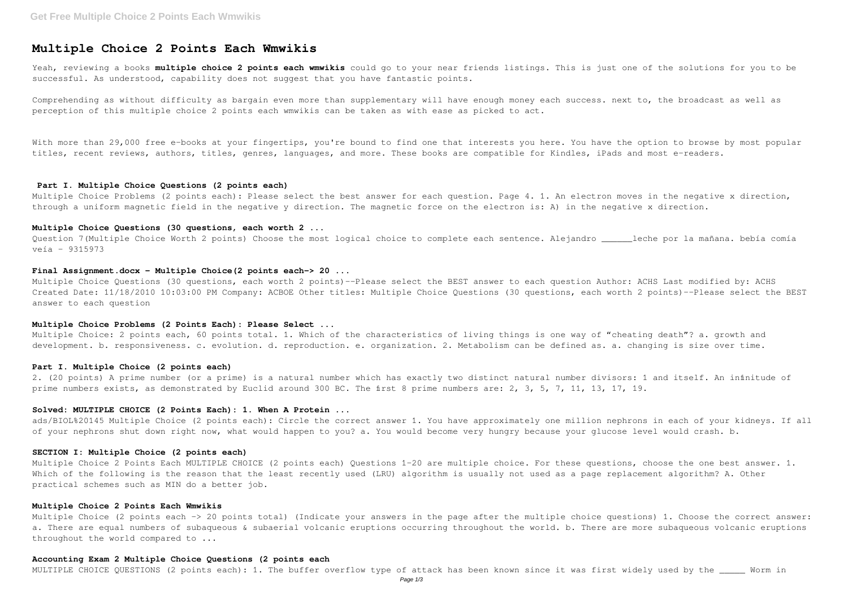# **Multiple Choice 2 Points Each Wmwikis**

Yeah, reviewing a books **multiple choice 2 points each wmwikis** could go to your near friends listings. This is just one of the solutions for you to be successful. As understood, capability does not suggest that you have fantastic points.

Comprehending as without difficulty as bargain even more than supplementary will have enough money each success. next to, the broadcast as well as perception of this multiple choice 2 points each wmwikis can be taken as with ease as picked to act.

With more than 29,000 free e-books at your fingertips, you're bound to find one that interests you here. You have the option to browse by most popular titles, recent reviews, authors, titles, genres, languages, and more. These books are compatible for Kindles, iPads and most e-readers.

Multiple Choice Problems (2 points each): Please select the best answer for each question. Page 4. 1. An electron moves in the negative x direction, through a uniform magnetic field in the negative y direction. The magnetic force on the electron is: A) in the negative x direction.

Question 7(Multiple Choice Worth 2 points) Choose the most logical choice to complete each sentence. Alejandro leche por la mañana. bebía comía veía - 9315973

## **Part I. Multiple Choice Questions (2 points each)**

Multiple Choice Questions (30 questions, each worth 2 points)--Please select the BEST answer to each question Author: ACHS Last modified by: ACHS Created Date: 11/18/2010 10:03:00 PM Company: ACBOE Other titles: Multiple Choice Questions (30 questions, each worth 2 points)--Please select the BEST answer to each question

Multiple Choice: 2 points each, 60 points total. 1. Which of the characteristics of living things is one way of "cheating death"? a. growth and development. b. responsiveness. c. evolution. d. reproduction. e. organization. 2. Metabolism can be defined as. a. changing is size over time.

2. (20 points) A prime number (or a prime) is a natural number which has exactly two distinct natural number divisors: 1 and itself. An infinitude of prime numbers exists, as demonstrated by Euclid around 300 BC. The first 8 prime numbers are: 2, 3, 5, 7, 11, 13, 17, 19.

#### **Multiple Choice Questions (30 questions, each worth 2 ...**

## **Final Assignment.docx - Multiple Choice(2 points each-> 20 ...**

Multiple Choice 2 Points Each MULTIPLE CHOICE (2 points each) Questions 1-20 are multiple choice. For these questions, choose the one best answer. 1. Which of the following is the reason that the least recently used (LRU) algorithm is usually not used as a page replacement algorithm? A. Other practical schemes such as MIN do a better job.

Multiple Choice (2 points each -> 20 points total) (Indicate your answers in the page after the multiple choice questions) 1. Choose the correct answer: a. There are equal numbers of subaqueous & subaerial volcanic eruptions occurring throughout the world. b. There are more subaqueous volcanic eruptions throughout the world compared to ...

## **Multiple Choice Problems (2 Points Each): Please Select ...**

#### **Part I. Multiple Choice (2 points each)**

# **Solved: MULTIPLE CHOICE (2 Points Each): 1. When A Protein ...**

ads/BIOL%20145 Multiple Choice (2 points each): Circle the correct answer 1. You have approximately one million nephrons in each of your kidneys. If all of your nephrons shut down right now, what would happen to you? a. You would become very hungry because your glucose level would crash. b.

## **SECTION I: Multiple Choice (2 points each)**

## **Multiple Choice 2 Points Each Wmwikis**

## **Accounting Exam 2 Multiple Choice Questions (2 points each**

MULTIPLE CHOICE QUESTIONS (2 points each): 1. The buffer overflow type of attack has been known since it was first widely used by the \_\_\_\_\_ Worm in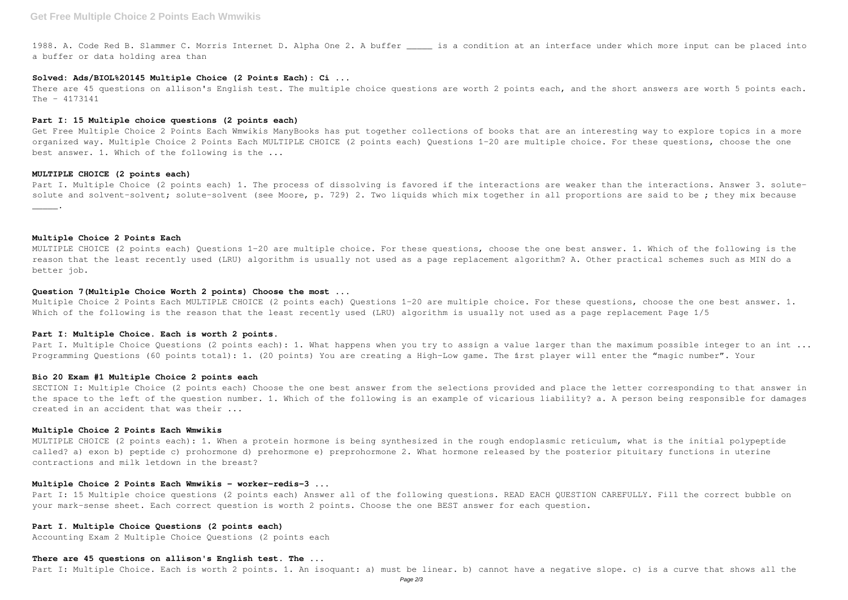1988. A. Code Red B. Slammer C. Morris Internet D. Alpha One 2. A buffer \_\_\_\_\_ is a condition at an interface under which more input can be placed into a buffer or data holding area than

#### **Solved: Ads/BIOL%20145 Multiple Choice (2 Points Each): Ci ...**

There are 45 questions on allison's English test. The multiple choice questions are worth 2 points each, and the short answers are worth 5 points each.  $The - 4173141$ 

## **Part I: 15 Multiple choice questions (2 points each)**

Get Free Multiple Choice 2 Points Each Wmwikis ManyBooks has put together collections of books that are an interesting way to explore topics in a more organized way. Multiple Choice 2 Points Each MULTIPLE CHOICE (2 points each) Questions 1-20 are multiple choice. For these questions, choose the one best answer. 1. Which of the following is the ...

#### **MULTIPLE CHOICE (2 points each)**

Part I. Multiple Choice (2 points each) 1. The process of dissolving is favored if the interactions are weaker than the interactions. Answer 3. solutesolute and solvent-solvent; solute-solvent (see Moore, p. 729) 2. Two liquids which mix together in all proportions are said to be; they mix because  $\overline{\phantom{a}}$ .

**Multiple Choice 2 Points Each**

MULTIPLE CHOICE (2 points each) Questions 1-20 are multiple choice. For these questions, choose the one best answer. 1. Which of the following is the reason that the least recently used (LRU) algorithm is usually not used as a page replacement algorithm? A. Other practical schemes such as MIN do a better job.

## **Question 7(Multiple Choice Worth 2 points) Choose the most ...**

Part I: 15 Multiple choice questions (2 points each) Answer all of the following questions. READ EACH QUESTION CAREFULLY. Fill the correct bubble on your mark-sense sheet. Each correct question is worth 2 points. Choose the one BEST answer for each question.

Multiple Choice 2 Points Each MULTIPLE CHOICE (2 points each) Questions 1-20 are multiple choice. For these questions, choose the one best answer. 1. Which of the following is the reason that the least recently used (LRU) algorithm is usually not used as a page replacement Page 1/5

## **Part I: Multiple Choice. Each is worth 2 points.**

Part I. Multiple Choice Questions (2 points each): 1. What happens when you try to assign a value larger than the maximum possible integer to an int ... Programming Questions (60 points total): 1. (20 points) You are creating a High-Low game. The first player will enter the "magic number". Your

#### **Bio 20 Exam #1 Multiple Choice 2 points each**

SECTION I: Multiple Choice (2 points each) Choose the one best answer from the selections provided and place the letter corresponding to that answer in the space to the left of the question number. 1. Which of the following is an example of vicarious liability? a. A person being responsible for damages created in an accident that was their ...

#### **Multiple Choice 2 Points Each Wmwikis**

MULTIPLE CHOICE (2 points each): 1. When a protein hormone is being synthesized in the rough endoplasmic reticulum, what is the initial polypeptide called? a) exon b) peptide c) prohormone d) prehormone e) preprohormone 2. What hormone released by the posterior pituitary functions in uterine contractions and milk letdown in the breast?

## **Multiple Choice 2 Points Each Wmwikis - worker-redis-3 ...**

## **Part I. Multiple Choice Questions (2 points each)**

Accounting Exam 2 Multiple Choice Questions (2 points each

## **There are 45 questions on allison's English test. The ...**

Part I: Multiple Choice. Each is worth 2 points. 1. An isoquant: a) must be linear. b) cannot have a negative slope. c) is a curve that shows all the